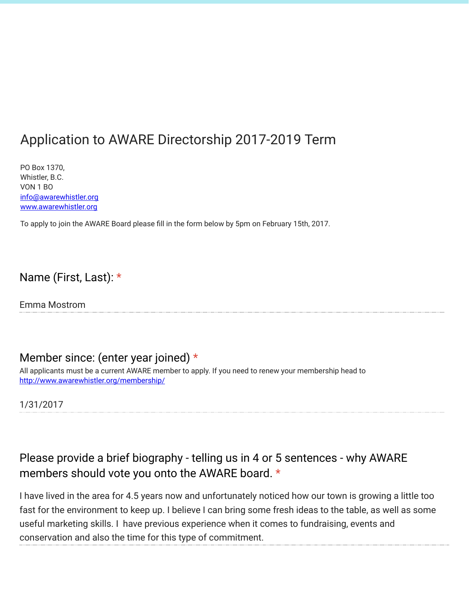# Application to AWARE Directorship 2017-2019 Term

PO Box 1370, Whistler, B.C. VON 1 BO info@awarewhistler.org www.awarewhistler.org

To apply to join the AWARE Board please fill in the form below by 5pm on February 15th, 2017.

#### Name (First, Last): \*

Emma Mostrom

#### Member since: (enter year joined)  $*$

All applicants must be a current AWARE member to apply. If you need to renew your membership head to [http://www.awarewhistler.org/membership/](https://www.google.com/url?q=http://www.awarewhistler.org/membership/&sa=D&ust=1487277090441000&usg=AFQjCNHwzs9bvUO62PPCGzYu1JIdp9UBPA)

1/31/2017

# Please provide a brief biography - telling us in 4 or 5 sentences - why AWARE members should vote you onto the AWARE board. \*

I have lived in the area for 4.5 years now and unfortunately noticed how our town is growing a little too fast for the environment to keep up. I believe I can bring some fresh ideas to the table, as well as some useful marketing skills. I have previous experience when it comes to fundraising, events and conservation and also the time for this type of commitment.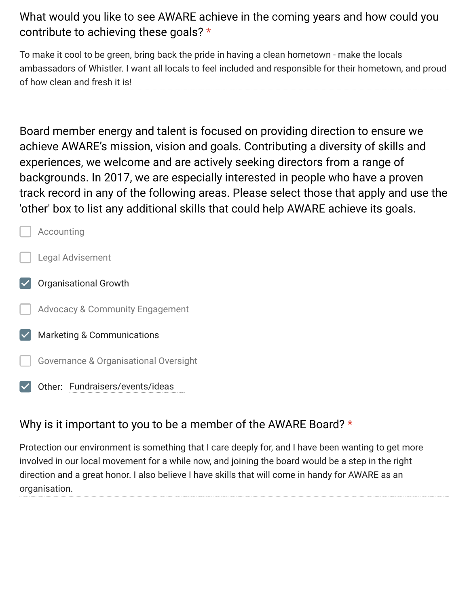# What would you like to see AWARE achieve in the coming years and how could you contribute to achieving these goals? \*

To make it cool to be green, bring back the pride in having a clean hometown - make the locals ambassadors of Whistler. I want all locals to feel included and responsible for their hometown, and proud of how clean and fresh it is!

Board member energy and talent is focused on providing direction to ensure we achieve AWARE's mission, vision and goals. Contributing a diversity of skills and experiences, we welcome and are actively seeking directors from a range of backgrounds. In 2017, we are especially interested in people who have a proven track record in any of the following areas. Please select those that apply and use the 'other' box to list any additional skills that could help AWARE achieve its goals.



Other: Fundraisers/events/ideas

### Why is it important to you to be a member of the AWARE Board? \*

Protection our environment is something that I care deeply for, and I have been wanting to get more involved in our local movement for a while now, and joining the board would be a step in the right direction and a great honor. I also believe I have skills that will come in handy for AWARE as an organisation.